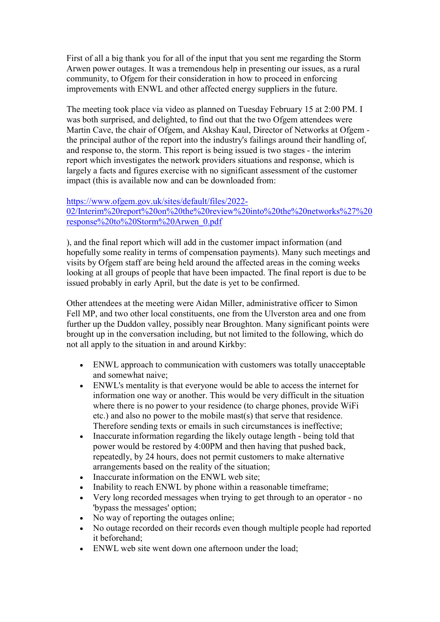First of all a big thank you for all of the input that you sent me regarding the Storm Arwen power outages. It was a tremendous help in presenting our issues, as a rural community, to Ofgem for their consideration in how to proceed in enforcing improvements with ENWL and other affected energy suppliers in the future.

The meeting took place via video as planned on Tuesday February 15 at 2:00 PM. I was both surprised, and delighted, to find out that the two Ofgem attendees were Martin Cave, the chair of Ofgem, and Akshay Kaul, Director of Networks at Ofgem the principal author of the report into the industry's failings around their handling of, and response to, the storm. This report is being issued is two stages - the interim report which investigates the network providers situations and response, which is largely a facts and figures exercise with no significant assessment of the customer impact (this is available now and can be downloaded from:

## https://www.ofgem.gov.uk/sites/default/files/2022-

02/Interim%20report%20on%20the%20review%20into%20the%20networks%27%20 response%20to%20Storm%20Arwen\_0.pdf

), and the final report which will add in the customer impact information (and hopefully some reality in terms of compensation payments). Many such meetings and visits by Ofgem staff are being held around the affected areas in the coming weeks looking at all groups of people that have been impacted. The final report is due to be issued probably in early April, but the date is yet to be confirmed.

Other attendees at the meeting were Aidan Miller, administrative officer to Simon Fell MP, and two other local constituents, one from the Ulverston area and one from further up the Duddon valley, possibly near Broughton. Many significant points were brought up in the conversation including, but not limited to the following, which do not all apply to the situation in and around Kirkby:

- ENWL approach to communication with customers was totally unacceptable and somewhat naive;
- ENWL's mentality is that everyone would be able to access the internet for information one way or another. This would be very difficult in the situation where there is no power to your residence (to charge phones, provide WiFi etc.) and also no power to the mobile mast(s) that serve that residence. Therefore sending texts or emails in such circumstances is ineffective;
- Inaccurate information regarding the likely outage length being told that power would be restored by 4:00PM and then having that pushed back, repeatedly, by 24 hours, does not permit customers to make alternative arrangements based on the reality of the situation;
- Inaccurate information on the ENWL web site:
- Inability to reach ENWL by phone within a reasonable timeframe;
- Very long recorded messages when trying to get through to an operator no 'bypass the messages' option;
- No way of reporting the outages online;
- No outage recorded on their records even though multiple people had reported it beforehand;
- ENWL web site went down one afternoon under the load;